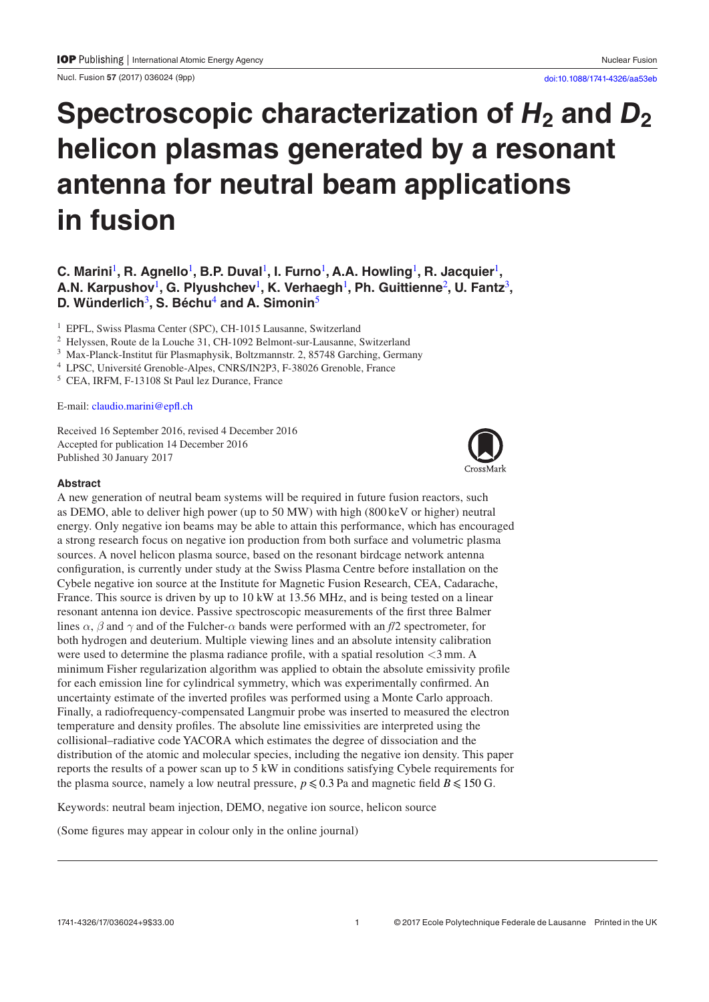Nucl. Fusion **57** (2017) 036024 ([9p](#page-8-0)p) [doi:10.1088/1741-4326/aa53eb](https://doi.org/10.1088/1741-4326/aa53eb)

# Spectroscopic characterization of  $H_2$  and  $D_2$ **helicon plasmas generated by a resonant antenna for neutral beam applications in fusion**

# **C. Marini<sup>[1](#page-0-0)</sup>, R. Agnello<sup>1</sup>, B.P. Duval<sup>1</sup>, I. Furno<sup>1</sup>, A.A. Howling<sup>1</sup>, R. Jacquier<sup>1</sup>, A.N. Karpushov**[1](#page-0-0)**, G. Plyushchev**[1](#page-0-0)**, K. Verhaegh**[1](#page-0-0)**, Ph. Guittienne**[2](#page-0-1)**, U. Fantz**[3](#page-0-2)**, D. Wünderlich**[3](#page-0-2)**, S. Béchu**[4](#page-0-3) **and A. Simonin**[5](#page-0-4)

<span id="page-0-0"></span><sup>1</sup> EPFL, Swiss Plasma Center (SPC), CH-1015 Lausanne, Switzerland

<span id="page-0-1"></span><sup>2</sup> Helyssen, Route de la Louche 31, CH-1092 Belmont-sur-Lausanne, Switzerland

<span id="page-0-2"></span><sup>3</sup> Max-Planck-Institut für Plasmaphysik, Boltzmannstr. 2, 85748 Garching, Germany <sup>4</sup> LPSC, Université Grenoble-Alpes, CNRS/IN2P3, F-38026 Grenoble, France <sup>5</sup> CEA, IRFM, F-13108 St Paul lez Durance, France

<span id="page-0-3"></span>

<span id="page-0-4"></span>

#### E-mail: [claudio.marini@epfl.ch](mailto:claudio.marini@epfl.ch)

Received 16 September 2016, revised 4 December 2016 Accepted for publication 14 December 2016 Published 30 January 2017



#### **Abstract**

A new generation of neutral beam systems will be required in future fusion reactors, such as DEMO, able to deliver high power (up to 50 MW) with high (800 keV or higher) neutral energy. Only negative ion beams may be able to attain this performance, which has encouraged a strong research focus on negative ion production from both surface and volumetric plasma sources. A novel helicon plasma source, based on the resonant birdcage network antenna configuration, is currently under study at the Swiss Plasma Centre before installation on the Cybele negative ion source at the Institute for Magnetic Fusion Research, CEA, Cadarache, France. This source is driven by up to 10 kW at 13.56 MHz, and is being tested on a linear resonant antenna ion device. Passive spectroscopic measurements of the first three Balmer lines *α*, *β* and *γ* and of the Fulcher-*α* bands were performed with an *f*/2 spectrometer, for both hydrogen and deuterium. Multiple viewing lines and an absolute intensity calibration were used to determine the plasma radiance profile, with a spatial resolution  $\langle 3 \text{ mm} \rangle$ . A minimum Fisher regularization algorithm was applied to obtain the absolute emissivity profile for each emission line for cylindrical symmetry, which was experimentally confirmed. An uncertainty estimate of the inverted profiles was performed using a Monte Carlo approach. Finally, a radiofrequency-compensated Langmuir probe was inserted to measured the electron temperature and density profiles. The absolute line emissivities are interpreted using the collisional–radiative code YACORA which estimates the degree of dissociation and the distribution of the atomic and molecular species, including the negative ion density. This paper reports the results of a power scan up to 5 kW in conditions satisfying Cybele requirements for the plasma source, namely a low neutral pressure,  $p \le 0.3$  Pa and magnetic field  $B \le 150$  G.

Keywords: neutral beam injection, DEMO, negative ion source, helicon source

(Some figures may appear in colour only in the online journal)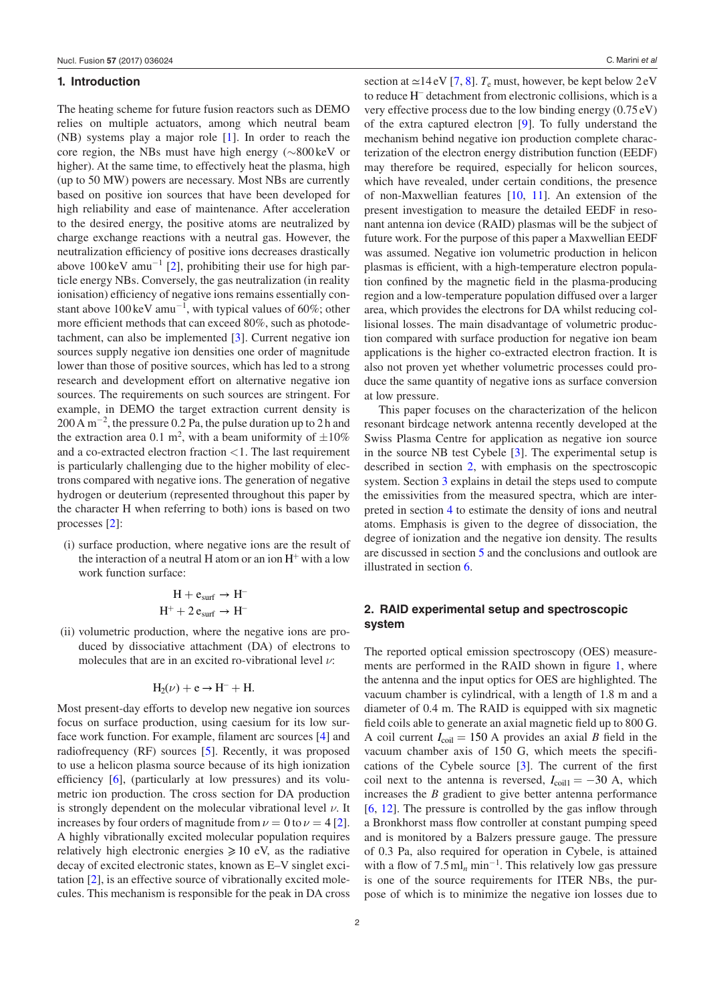#### **1. Introduction**

The heating scheme for future fusion reactors such as DEMO relies on multiple actuators, among which neutral beam (NB) systems play a major role [\[1](#page-8-1)]. In order to reach the core region, the NBs must have high energy (∼800 keV or higher). At the same time, to effectively heat the plasma, high (up to 50 MW) powers are necessary. Most NBs are currently based on positive ion sources that have been developed for high reliability and ease of maintenance. After acceleration to the desired energy, the positive atoms are neutralized by charge exchange reactions with a neutral gas. However, the neutralization efficiency of positive ions decreases drastically above  $100 \text{ keV}$  amu<sup>-1</sup> [\[2](#page-8-2)], prohibiting their use for high particle energy NBs. Conversely, the gas neutralization (in reality ionisation) efficiency of negative ions remains essentially constant above 100 keV amu<sup>-1</sup>, with typical values of 60%; other more efficient methods that can exceed 80%, such as photodetachment, can also be implemented [\[3](#page-8-3)]. Current negative ion sources supply negative ion densities one order of magnitude lower than those of positive sources, which has led to a strong research and development effort on alternative negative ion sources. The requirements on such sources are stringent. For example, in DEMO the target extraction current density is 200 A m<sup>-2</sup>, the pressure 0.2 Pa, the pulse duration up to 2 h and the extraction area 0.1 m<sup>2</sup>, with a beam uniformity of  $\pm 10\%$ and a co-extracted electron fraction <1. The last requirement is particularly challenging due to the higher mobility of electrons compared with negative ions. The generation of negative hydrogen or deuterium (represented throughout this paper by the character H when referring to both) ions is based on two processes [\[2](#page-8-2)]:

(i) surface production, where negative ions are the result of the interaction of a neutral H atom or an ion  $H^+$  with a low work function surface:

$$
H + e_{surf} \rightarrow H^-
$$
  

$$
H^+ + 2 e_{surf} \rightarrow H^-
$$

(ii) volumetric production, where the negative ions are produced by dissociative attachment (DA) of electrons to molecules that are in an excited ro-vibrational level *ν*:

$$
H_2(\nu)+e\rightarrow H^-+H.
$$

Most present-day efforts to develop new negative ion sources focus on surface production, using caesium for its low surface work function. For example, filament arc sources [[4\]](#page-8-4) and radiofrequency (RF) sources [\[5](#page-8-5)]. Recently, it was proposed to use a helicon plasma source because of its high ionization efficiency [[6\]](#page-8-6), (particularly at low pressures) and its volumetric ion production. The cross section for DA production is strongly dependent on the molecular vibrational level *ν*. It increases by four orders of magnitude from  $\nu = 0$  to  $\nu = 4$  [\[2](#page-8-2)]. A highly vibrationally excited molecular population requires relatively high electronic energies  $\geq 10$  eV, as the radiative decay of excited electronic states, known as E–V singlet excitation [\[2](#page-8-2)], is an effective source of vibrationally excited molecules. This mechanism is responsible for the peak in DA cross

section at  $\simeq$ 14 eV [\[7](#page-8-7), [8\]](#page-8-8).  $T_e$  must, however, be kept below 2 eV to reduce H<sup>−</sup> detachment from electronic collisions, which is a very effective process due to the low binding energy (0.75eV) of the extra captured electron [\[9](#page-8-9)]. To fully understand the mechanism behind negative ion production complete characterization of the electron energy distribution function (EEDF) may therefore be required, especially for helicon sources, which have revealed, under certain conditions, the presence of non-Maxwellian features [\[10](#page-8-10), [11\]](#page-8-11). An extension of the present investigation to measure the detailed EEDF in resonant antenna ion device (RAID) plasmas will be the subject of future work. For the purpose of this paper a Maxwellian EEDF was assumed. Negative ion volumetric production in helicon plasmas is efficient, with a high-temperature electron population confined by the magnetic field in the plasma-producing region and a low-temperature population diffused over a larger area, which provides the electrons for DA whilst reducing collisional losses. The main disadvantage of volumetric production compared with surface production for negative ion beam applications is the higher co-extracted electron fraction. It is also not proven yet whether volumetric processes could produce the same quantity of negative ions as surface conversion at low pressure.

This paper focuses on the characterization of the helicon resonant birdcage network antenna recently developed at the Swiss Plasma Centre for application as negative ion source in the source NB test Cybele [\[3](#page-8-3)]. The experimental setup is described in section [2,](#page-1-0) with emphasis on the spectroscopic system. Section [3](#page-3-0) explains in detail the steps used to compute the emissivities from the measured spectra, which are interpreted in section [4](#page-5-0) to estimate the density of ions and neutral atoms. Emphasis is given to the degree of dissociation, the degree of ionization and the negative ion density. The results are discussed in section [5](#page-7-0) and the conclusions and outlook are illustrated in section [6.](#page-7-1)

# <span id="page-1-0"></span>**2. RAID experimental setup and spectroscopic system**

The reported optical emission spectroscopy (OES) measure-ments are performed in the RAID shown in figure [1,](#page-2-0) where the antenna and the input optics for OES are highlighted. The vacuum chamber is cylindrical, with a length of 1.8 m and a diameter of 0.4 m. The RAID is equipped with six magnetic field coils able to generate an axial magnetic field up to 800 G. A coil current  $I_{\text{coil}} = 150$  A provides an axial *B* field in the vacuum chamber axis of 150 G, which meets the specifications of the Cybele source [[3\]](#page-8-3). The current of the first coil next to the antenna is reversed,  $I_{\text{coil}} = -30$  A, which increases the *B* gradient to give better antenna performance [\[6](#page-8-6), [12\]](#page-8-12). The pressure is controlled by the gas inflow through a Bronkhorst mass flow controller at constant pumping speed and is monitored by a Balzers pressure gauge. The pressure of 0.3 Pa, also required for operation in Cybele, is attained with a flow of  $7.5 \text{ ml}_n \text{ min}^{-1}$ . This relatively low gas pressure is one of the source requirements for ITER NBs, the purpose of which is to minimize the negative ion losses due to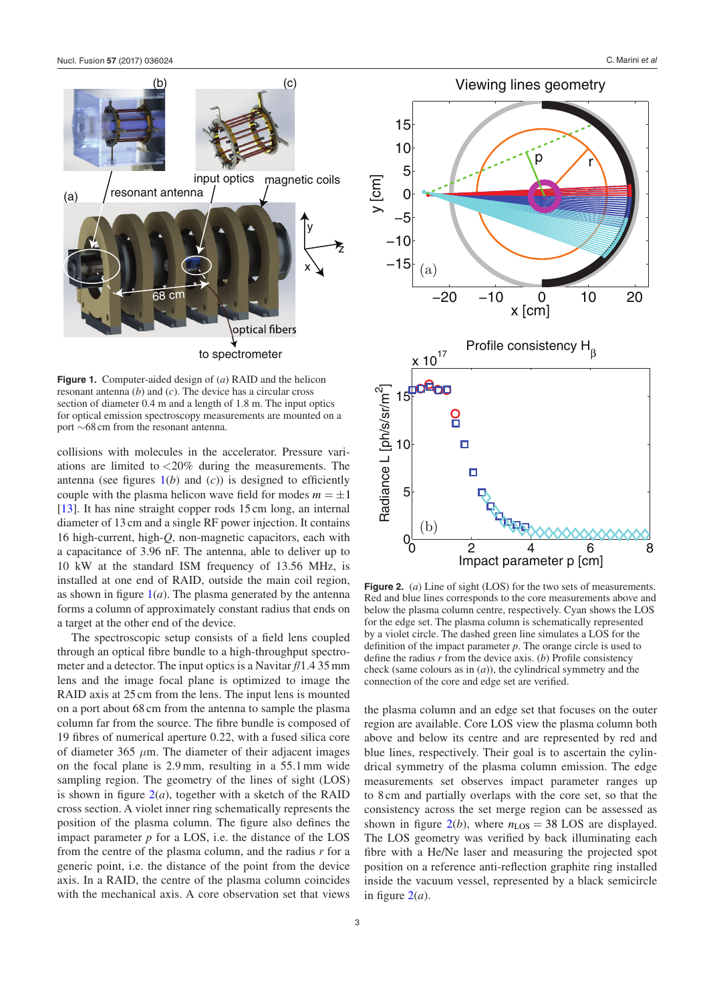<span id="page-2-0"></span>

**Figure 1.** Computer-aided design of (*a*) RAID and the helicon resonant antenna (*b*) and (*c*). The device has a circular cross section of diameter 0.4 m and a length of 1.8 m. The input optics for optical emission spectroscopy measurements are mounted on a port ∼68cm from the resonant antenna.

collisions with molecules in the accelerator. Pressure variations are limited to  $\langle 20\%$  during the measurements. The antenna (see figures  $1(b)$  $1(b)$  and  $(c)$ ) is designed to efficiently couple with the plasma helicon wave field for modes  $m = \pm 1$ [\[13](#page-8-13)]. It has nine straight copper rods 15 cm long, an internal diameter of 13 cm and a single RF power injection. It contains 16 high-current, high-*Q*, non-magnetic capacitors, each with a capacitance of 3.96 nF. The antenna, able to deliver up to 10 kW at the standard ISM frequency of 13.56 MHz, is installed at one end of RAID, outside the main coil region, as shown in figure  $1(a)$  $1(a)$ . The plasma generated by the antenna forms a column of approximately constant radius that ends on a target at the other end of the device.

The spectroscopic setup consists of a field lens coupled through an optical fibre bundle to a high-throughput spectrometer and a detector. The input optics is a Navitar *f*/1.4 35mm lens and the image focal plane is optimized to image the RAID axis at 25 cm from the lens. The input lens is mounted on a port about 68 cm from the antenna to sample the plasma column far from the source. The fibre bundle is composed of 19 fibres of numerical aperture 0.22, with a fused silica core of diameter 365  $\mu$ m. The diameter of their adjacent images on the focal plane is 2.9mm, resulting in a 55.1mm wide sampling region. The geometry of the lines of sight (LOS) is shown in figure  $2(a)$  $2(a)$ , together with a sketch of the RAID cross section. A violet inner ring schematically represents the position of the plasma column. The figure also defines the impact parameter  $p$  for a LOS, i.e. the distance of the LOS from the centre of the plasma column, and the radius *r* for a generic point, i.e. the distance of the point from the device axis. In a RAID, the centre of the plasma column coincides with the mechanical axis. A core observation set that views

<span id="page-2-1"></span>15 10 r p 5 y [cm] 0 −5 −10 −15 (a) −20 −10 0 10 20 x [cm] Profile consistency  $H<sub>g</sub>$  $10^{17}$ — Radiance L [ph/s/sr/m<sup>2</sup> 15  $\overline{a}$ 10  $\Box$ Ξ 5 (b)  $0$  2 4 6 8 Impact parameter p [cm]

Viewing lines geometry

**Figure 2.** (*a*) Line of sight (LOS) for the two sets of measurements. Red and blue lines corresponds to the core measurements above and below the plasma column centre, respectively. Cyan shows the LOS for the edge set. The plasma column is schematically represented by a violet circle. The dashed green line simulates a LOS for the definition of the impact parameter *p*. The orange circle is used to define the radius *r* from the device axis. (*b*) Profile consistency check (same colours as in (*a*)), the cylindrical symmetry and the connection of the core and edge set are verified.

the plasma column and an edge set that focuses on the outer region are available. Core LOS view the plasma column both above and below its centre and are represented by red and blue lines, respectively. Their goal is to ascertain the cylindrical symmetry of the plasma column emission. The edge measurements set observes impact parameter ranges up to 8 cm and partially overlaps with the core set, so that the consistency across the set merge region can be assessed as shown in figure  $2(b)$  $2(b)$ , where  $n_{LOS} = 38$  LOS are displayed. The LOS geometry was verified by back illuminating each fibre with a He/Ne laser and measuring the projected spot position on a reference anti-reflection graphite ring installed inside the vacuum vessel, represented by a black semicircle in figure  $2(a)$  $2(a)$ .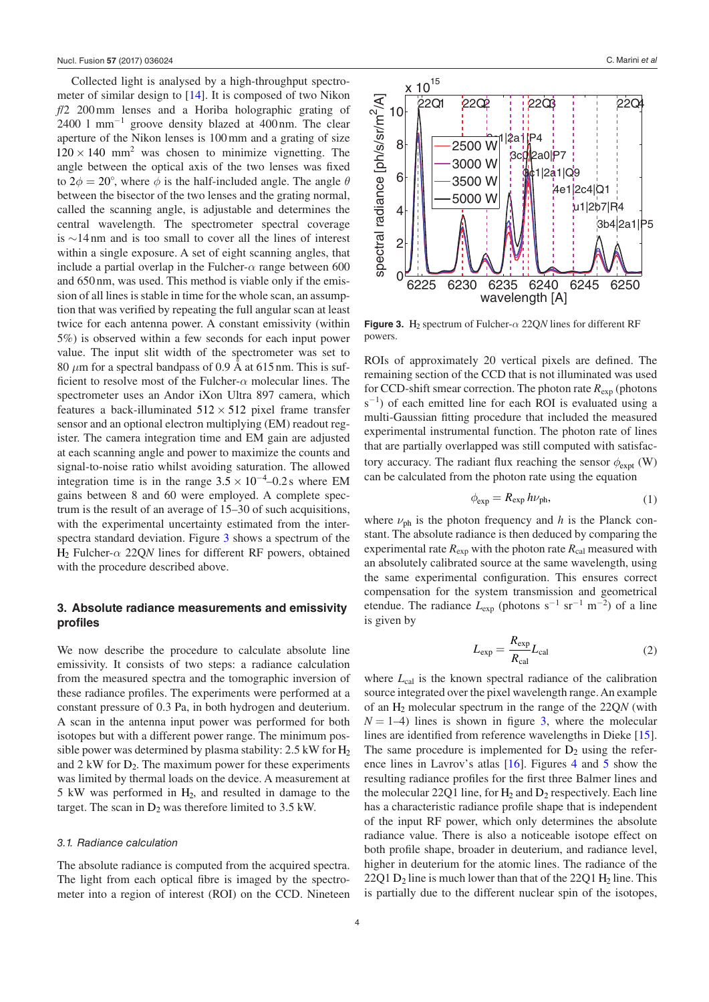Collected light is analysed by a high-throughput spectrometer of similar design to [[14\]](#page-8-14). It is composed of two Nikon *f*/2 200mm lenses and a Horiba holographic grating of 2400 l mm<sup>−</sup><sup>1</sup> groove density blazed at 400nm. The clear aperture of the Nikon lenses is 100mm and a grating of size  $120 \times 140$  mm<sup>2</sup> was chosen to minimize vignetting. The angle between the optical axis of the two lenses was fixed to  $2\phi = 20^{\circ}$ , where  $\phi$  is the half-included angle. The angle  $\theta$ between the bisector of the two lenses and the grating normal, called the scanning angle, is adjustable and determines the central wavelength. The spectrometer spectral coverage is ∼14 nm and is too small to cover all the lines of interest within a single exposure. A set of eight scanning angles, that include a partial overlap in the Fulcher- $\alpha$  range between 600 and 650 nm, was used. This method is viable only if the emission of all lines is stable in time for the whole scan, an assumption that was verified by repeating the full angular scan at least twice for each antenna power. A constant emissivity (within 5%) is observed within a few seconds for each input power value. The input slit width of the spectrometer was set to 80 *μ*m for a spectral bandpass of 0.9 Å at 615nm. This is sufficient to resolve most of the Fulcher-*α* molecular lines. The spectrometer uses an Andor iXon Ultra 897 camera, which features a back-illuminated  $512 \times 512$  pixel frame transfer sensor and an optional electron multiplying (EM) readout register. The camera integration time and EM gain are adjusted at each scanning angle and power to maximize the counts and signal-to-noise ratio whilst avoiding saturation. The allowed integration time is in the range  $3.5 \times 10^{-4}$  –0.2s where EM gains between 8 and 60 were employed. A complete spectrum is the result of an average of 15–30 of such acquisitions, with the experimental uncertainty estimated from the interspectra standard deviation. Figure [3](#page-3-1) shows a spectrum of the H2 Fulcher-*α* 22Q*N* lines for different RF powers, obtained with the procedure described above.

# <span id="page-3-0"></span>**3. Absolute radiance measurements and emissivity profiles**

We now describe the procedure to calculate absolute line emissivity. It consists of two steps: a radiance calculation from the measured spectra and the tomographic inversion of these radiance profiles. The experiments were performed at a constant pressure of 0.3 Pa, in both hydrogen and deuterium. A scan in the antenna input power was performed for both isotopes but with a different power range. The minimum possible power was determined by plasma stability:  $2.5 \text{ kW}$  for  $\text{H}_2$ and  $2 \text{ kW}$  for  $D_2$ . The maximum power for these experiments was limited by thermal loads on the device. A measurement at 5 kW was performed in H2, and resulted in damage to the target. The scan in  $D_2$  was therefore limited to 3.5 kW.

#### *3.1. Radiance calculation*

The absolute radiance is computed from the acquired spectra. The light from each optical fibre is imaged by the spectrometer into a region of interest (ROI) on the CCD. Nineteen

<span id="page-3-1"></span>

**Figure 3.** H<sub>2</sub> spectrum of Fulcher- $\alpha$  22Q*N* lines for different RF powers.

ROIs of approximately 20 vertical pixels are defined. The remaining section of the CCD that is not illuminated was used for CCD-shift smear correction. The photon rate *R*exp (photons s<sup>-1</sup>) of each emitted line for each ROI is evaluated using a multi-Gaussian fitting procedure that included the measured experimental instrumental function. The photon rate of lines that are partially overlapped was still computed with satisfactory accuracy. The radiant flux reaching the sensor  $\phi_{\text{exnt}}$  (W) can be calculated from the photon rate using the equation

$$
\phi_{\exp} = R_{\exp} h \nu_{\text{ph}},\tag{1}
$$

where  $\nu_{\rm ph}$  is the photon frequency and *h* is the Planck constant. The absolute radiance is then deduced by comparing the experimental rate  $R_{\text{exp}}$  with the photon rate  $R_{\text{cal}}$  measured with an absolutely calibrated source at the same wavelength, using the same experimental configuration. This ensures correct compensation for the system transmission and geometrical etendue. The radiance  $L_{\text{exp}}$  (photons s<sup>-1</sup> sr<sup>-1</sup> m<sup>-2</sup>) of a line is given by

$$
L_{\rm exp} = \frac{R_{\rm exp}}{R_{\rm cal}} L_{\rm cal} \tag{2}
$$

where  $L_{\text{cal}}$  is the known spectral radiance of the calibration source integrated over the pixel wavelength range. An example of an H2 molecular spectrum in the range of the 22Q*N* (with  $N = 1-4$ ) lines is shown in figure [3](#page-3-1), where the molecular lines are identified from reference wavelengths in Dieke [\[15](#page-8-15)]. The same procedure is implemented for  $D_2$  using the reference lines in Lavrov's atlas [[16\]](#page-8-16). Figures [4](#page-4-0) and [5](#page-4-1) show the resulting radiance profiles for the first three Balmer lines and the molecular 22Q1 line, for  $H_2$  and  $D_2$  respectively. Each line has a characteristic radiance profile shape that is independent of the input RF power, which only determines the absolute radiance value. There is also a noticeable isotope effect on both profile shape, broader in deuterium, and radiance level, higher in deuterium for the atomic lines. The radiance of the 22Q1  $D_2$  line is much lower than that of the 22Q1  $H_2$  line. This is partially due to the different nuclear spin of the isotopes,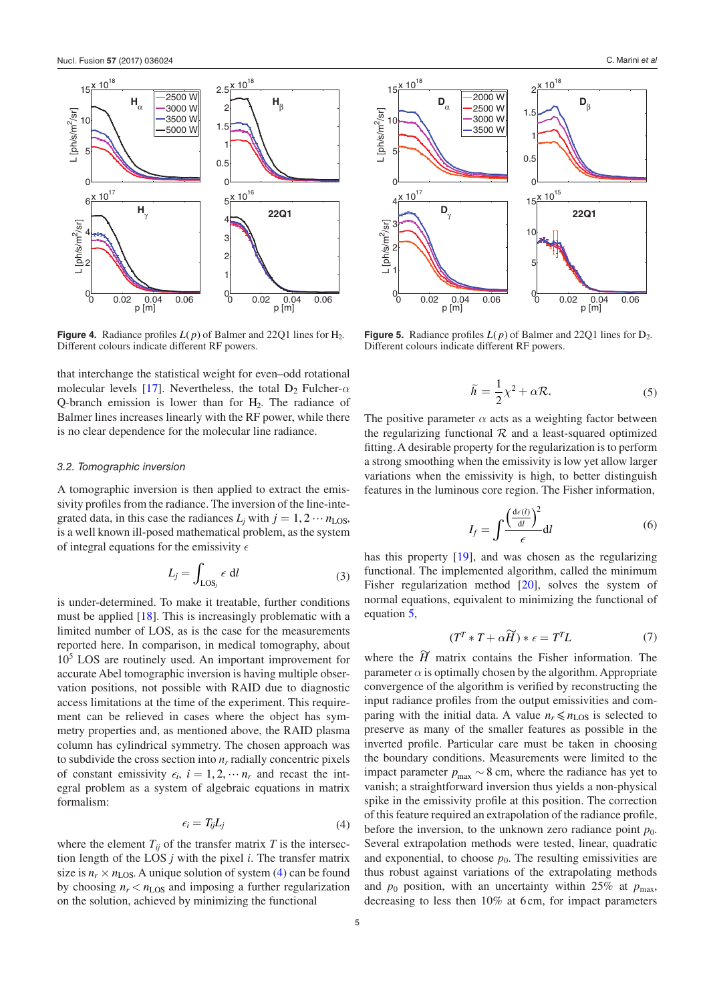<span id="page-4-0"></span>

**Figure 4.** Radiance profiles  $L(p)$  of Balmer and 2201 lines for H<sub>2</sub>. Different colours indicate different RF powers.

that interchange the statistical weight for even–odd rotational molecular levels [[17\]](#page-8-17). Nevertheless, the total  $D_2$  Fulcher- $\alpha$ Q-branch emission is lower than for  $H_2$ . The radiance of Balmer lines increases linearly with the RF power, while there is no clear dependence for the molecular line radiance.

#### *3.2. Tomographic inversion*

A tomographic inversion is then applied to extract the emissivity profiles from the radiance. The inversion of the line-integrated data, in this case the radiances  $L_i$  with  $j = 1, 2 \cdots n_{LOS}$ , is a well known ill-posed mathematical problem, as the system of integral equations for the emissivity  $\epsilon$ 

$$
L_j = \int_{\text{LOS}_j} \epsilon \, \mathrm{d}l \tag{3}
$$

is under-determined. To make it treatable, further conditions must be applied [\[18](#page-8-18)]. This is increasingly problematic with a limited number of LOS, as is the case for the measurements reported here. In comparison, in medical tomography, about 105 LOS are routinely used. An important improvement for accurate Abel tomographic inversion is having multiple observation positions, not possible with RAID due to diagnostic access limitations at the time of the experiment. This requirement can be relieved in cases where the object has symmetry properties and, as mentioned above, the RAID plasma column has cylindrical symmetry. The chosen approach was to subdivide the cross section into  $n_r$  radially concentric pixels of constant emissivity  $\epsilon_i$ ,  $i = 1, 2, \cdots n_r$  and recast the integral problem as a system of algebraic equations in matrix formalism:

$$
\epsilon_i = T_{ij} L_j \tag{4}
$$

<span id="page-4-2"></span>where the element  $T_{ii}$  of the transfer matrix  $T$  is the intersection length of the LOS *j* with the pixel *i*. The transfer matrix size is  $n_r \times n_{LOS}$ . A unique solution of system ([4\)](#page-4-2) can be found by choosing  $n_r < n_{LOS}$  and imposing a further regularization on the solution, achieved by minimizing the functional

<span id="page-4-1"></span>

**Figure 5.** Radiance profiles  $L(p)$  of Balmer and 2201 lines for  $D_2$ . Different colours indicate different RF powers.

$$
\tilde{h} = \frac{1}{2}\chi^2 + \alpha \mathcal{R}.\tag{5}
$$

<span id="page-4-3"></span>The positive parameter  $\alpha$  acts as a weighting factor between the regularizing functional  $R$  and a least-squared optimized fitting. A desirable property for the regularization is to perform a strong smoothing when the emissivity is low yet allow larger variations when the emissivity is high, to better distinguish features in the luminous core region. The Fisher information,

$$
I_f = \int \frac{\left(\frac{\mathrm{d}\epsilon(l)}{\mathrm{d}l}\right)^2}{\epsilon} \mathrm{d}l \tag{6}
$$

has this property [[19\]](#page-8-19), and was chosen as the regularizing functional. The implemented algorithm, called the minimum Fisher regularization method [\[20](#page-8-20)], solves the system of normal equations, equivalent to minimizing the functional of equation [5,](#page-4-3)

$$
(T^T * T + \alpha \widetilde{H}) * \epsilon = T^T L \tag{7}
$$

where the  $\widetilde{H}$  matrix contains the Fisher information. The parameter  $\alpha$  is optimally chosen by the algorithm. Appropriate convergence of the algorithm is verified by reconstructing the input radiance profiles from the output emissivities and comparing with the initial data. A value  $n_r \le n_{LOS}$  is selected to preserve as many of the smaller features as possible in the inverted profile. Particular care must be taken in choosing the boundary conditions. Measurements were limited to the impact parameter  $p_{\text{max}} \sim 8$  cm, where the radiance has yet to vanish; a straightforward inversion thus yields a non-physical spike in the emissivity profile at this position. The correction of this feature required an extrapolation of the radiance profile, before the inversion, to the unknown zero radiance point  $p_0$ . Several extrapolation methods were tested, linear, quadratic and exponential, to choose  $p_0$ . The resulting emissivities are thus robust against variations of the extrapolating methods and  $p_0$  position, with an uncertainty within 25% at  $p_{\text{max}}$ , decreasing to less then 10% at 6 cm, for impact parameters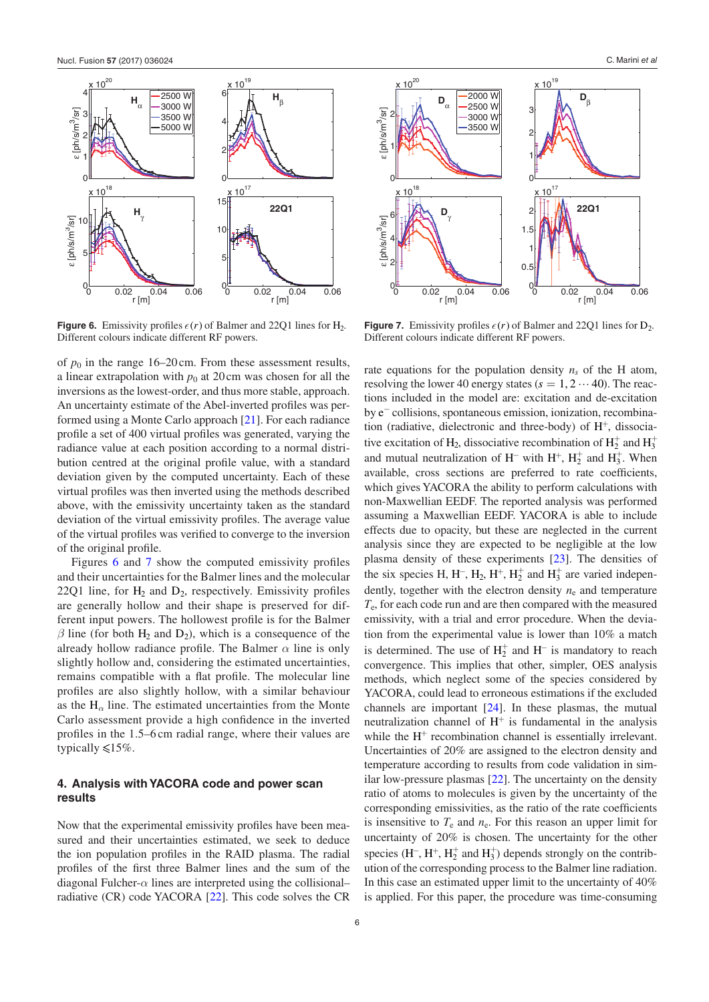<span id="page-5-1"></span>

**Figure 6.** Emissivity profiles  $\epsilon(r)$  of Balmer and 22Q1 lines for H<sub>2</sub>. Different colours indicate different RF powers.

of  $p_0$  in the range 16–20 cm. From these assessment results, a linear extrapolation with  $p_0$  at 20cm was chosen for all the inversions as the lowest-order, and thus more stable, approach. An uncertainty estimate of the Abel-inverted profiles was performed using a Monte Carlo approach [\[21](#page-8-21)]. For each radiance profile a set of 400 virtual profiles was generated, varying the radiance value at each position according to a normal distribution centred at the original profile value, with a standard deviation given by the computed uncertainty. Each of these virtual profiles was then inverted using the methods described above, with the emissivity uncertainty taken as the standard deviation of the virtual emissivity profiles. The average value of the virtual profiles was verified to converge to the inversion of the original profile.

Figures [6](#page-5-1) and [7](#page-5-2) show the computed emissivity profiles and their uncertainties for the Balmer lines and the molecular 22Q1 line, for  $H_2$  and  $D_2$ , respectively. Emissivity profiles are generally hollow and their shape is preserved for different input powers. The hollowest profile is for the Balmer  $β$  line (for both H<sub>2</sub> and D<sub>2</sub>), which is a consequence of the already hollow radiance profile. The Balmer  $\alpha$  line is only slightly hollow and, considering the estimated uncertainties, remains compatible with a flat profile. The molecular line profiles are also slightly hollow, with a similar behaviour as the  $H_\alpha$  line. The estimated uncertainties from the Monte Carlo assessment provide a high confidence in the inverted profiles in the 1.5–6 cm radial range, where their values are typically  $\leq 15\%$ .

# <span id="page-5-0"></span>**4. Analysis with YACORA code and power scan results**

Now that the experimental emissivity profiles have been measured and their uncertainties estimated, we seek to deduce the ion population profiles in the RAID plasma. The radial profiles of the first three Balmer lines and the sum of the diagonal Fulcher- $\alpha$  lines are interpreted using the collisionalradiative (CR) code YACORA [\[22](#page-8-22)]. This code solves the CR

<span id="page-5-2"></span>

**Figure 7.** Emissivity profiles  $\epsilon(r)$  of Balmer and 22Q1 lines for  $D_2$ . Different colours indicate different RF powers.

rate equations for the population density  $n<sub>s</sub>$  of the H atom, resolving the lower 40 energy states  $(s = 1, 2 \cdots 40)$ . The reactions included in the model are: excitation and de-excitation by  $e^-$  collisions, spontaneous emission, ionization, recombination (radiative, dielectronic and three-body) of  $H^+$ , dissociative excitation of H<sub>2</sub>, dissociative recombination of H<sub>2</sub><sup>+</sup> and H<sub>3</sub><sup>+</sup> and mutual neutralization of H<sup>-</sup> with H<sup>+</sup>, H<sub>2</sub><sup>+</sup> and H<sub>3</sub><sup>+</sup>. When available, cross sections are preferred to rate coefficients, which gives YACORA the ability to perform calculations with non-Maxwellian EEDF. The reported analysis was performed assuming a Maxwellian EEDF. YACORA is able to include effects due to opacity, but these are neglected in the current analysis since they are expected to be negligible at the low plasma density of these experiments [[23\]](#page-8-23). The densities of the six species H, H<sup>-</sup>, H<sub>2</sub>, H<sup>+</sup>, H<sub>2</sub><sup>+</sup> and H<sub>3</sub><sup>+</sup> are varied independently, together with the electron density  $n_e$  and temperature *T*e, for each code run and are then compared with the measured emissivity, with a trial and error procedure. When the deviation from the experimental value is lower than 10% a match is determined. The use of  $H_2^+$  and  $H^-$  is mandatory to reach convergence. This implies that other, simpler, OES analysis methods, which neglect some of the species considered by YACORA, could lead to erroneous estimations if the excluded channels are important [\[24](#page-8-24)]. In these plasmas, the mutual neutralization channel of H<sup>+</sup> is fundamental in the analysis while the  $H<sup>+</sup>$  recombination channel is essentially irrelevant. Uncertainties of 20% are assigned to the electron density and temperature according to results from code validation in similar low-pressure plasmas [\[22\]](#page-8-22). The uncertainty on the density ratio of atoms to molecules is given by the uncertainty of the corresponding emissivities, as the ratio of the rate coefficients is insensitive to  $T_e$  and  $n_e$ . For this reason an upper limit for uncertainty of 20% is chosen. The uncertainty for the other species (H<sup>-</sup>, H<sup>+</sup>, H<sub>2</sub><sup>+</sup> and H<sub>3</sub><sup>+</sup>) depends strongly on the contribution of the corresponding process to the Balmer line radiation. In this case an estimated upper limit to the uncertainty of  $40\%$ is applied. For this paper, the procedure was time-consuming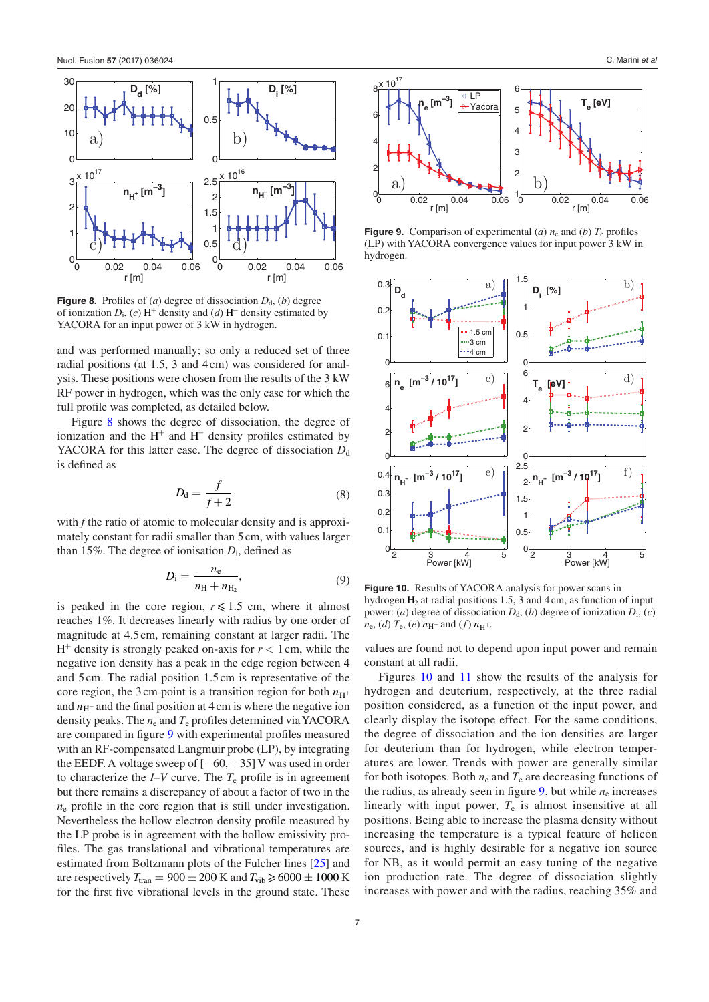<span id="page-6-0"></span>

**Figure 8.** Profiles of (*a*) degree of dissociation  $D_d$ , (*b*) degree of ionization *D*i, (*c*) H<sup>+</sup> density and (*d*) H<sup>−</sup> density estimated by YACORA for an input power of 3 kW in hydrogen.

and was performed manually; so only a reduced set of three radial positions (at 1.5, 3 and 4cm) was considered for analysis. These positions were chosen from the results of the 3 kW RF power in hydrogen, which was the only case for which the full profile was completed, as detailed below.

Figure [8](#page-6-0) shows the degree of dissociation, the degree of ionization and the  $H^+$  and  $H^-$  density profiles estimated by YACORA for this latter case. The degree of dissociation  $D_d$ is defined as

$$
D_{\rm d} = \frac{f}{f+2} \tag{8}
$$

with *f* the ratio of atomic to molecular density and is approximately constant for radii smaller than 5 cm, with values larger than 15%. The degree of ionisation  $D_i$ , defined as

$$
D_{\rm i} = \frac{n_{\rm e}}{n_{\rm H} + n_{\rm H_2}},\tag{9}
$$

is peaked in the core region,  $r \le 1.5$  cm, where it almost reaches 1%. It decreases linearly with radius by one order of magnitude at 4.5cm, remaining constant at larger radii. The  $H^+$  density is strongly peaked on-axis for  $r < 1$  cm, while the negative ion density has a peak in the edge region between 4 and 5cm. The radial position 1.5 cm is representative of the core region, the 3 cm point is a transition region for both  $n_{\text{H}^+}$ and  $n_{\text{H}^{-}}$  and the final position at 4 cm is where the negative ion density peaks. The  $n_e$  and  $T_e$  profiles determined via YACORA are compared in figure [9](#page-6-1) with experimental profiles measured with an RF-compensated Langmuir probe (LP), by integrating the EEDF. A voltage sweep of [−60, +35] V was used in order to characterize the  $I-V$  curve. The  $T_e$  profile is in agreement but there remains a discrepancy of about a factor of two in the  $n_e$  profile in the core region that is still under investigation. Nevertheless the hollow electron density profile measured by the LP probe is in agreement with the hollow emissivity profiles. The gas translational and vibrational temperatures are estimated from Boltzmann plots of the Fulcher lines [[25\]](#page-8-25) and are respectively  $T_{\text{tran}} = 900 \pm 200 \text{ K}$  and  $T_{\text{vib}} \ge 6000 \pm 1000 \text{ K}$ for the first five vibrational levels in the ground state. These

<span id="page-6-1"></span>

**Figure 9.** Comparison of experimental (*a*)  $n_e$  and (*b*)  $T_e$  profiles (LP) with YACORA convergence values for input power 3 kW in hydrogen.

<span id="page-6-2"></span>

**Figure 10.** Results of YACORA analysis for power scans in hydrogen  $H_2$  at radial positions 1.5, 3 and 4 cm, as function of input power: (*a*) degree of dissociation  $D_d$ , (*b*) degree of ionization  $D_i$ , (*c*)  $n_e$ , (*d*)  $T_e$ , (*e*)  $n_H$ − and (*f*)  $n_{H^+}$ .

values are found not to depend upon input power and remain constant at all radii.

Figures [10](#page-6-2) and [11](#page-7-2) show the results of the analysis for hydrogen and deuterium, respectively, at the three radial position considered, as a function of the input power, and clearly display the isotope effect. For the same conditions, the degree of dissociation and the ion densities are larger for deuterium than for hydrogen, while electron temperatures are lower. Trends with power are generally similar for both isotopes. Both  $n_e$  and  $T_e$  are decreasing functions of the radius, as already seen in figure  $9$ , but while  $n_e$  increases linearly with input power, *T*e is almost insensitive at all positions. Being able to increase the plasma density without increasing the temperature is a typical feature of helicon sources, and is highly desirable for a negative ion source for NB, as it would permit an easy tuning of the negative ion production rate. The degree of dissociation slightly increases with power and with the radius, reaching 35% and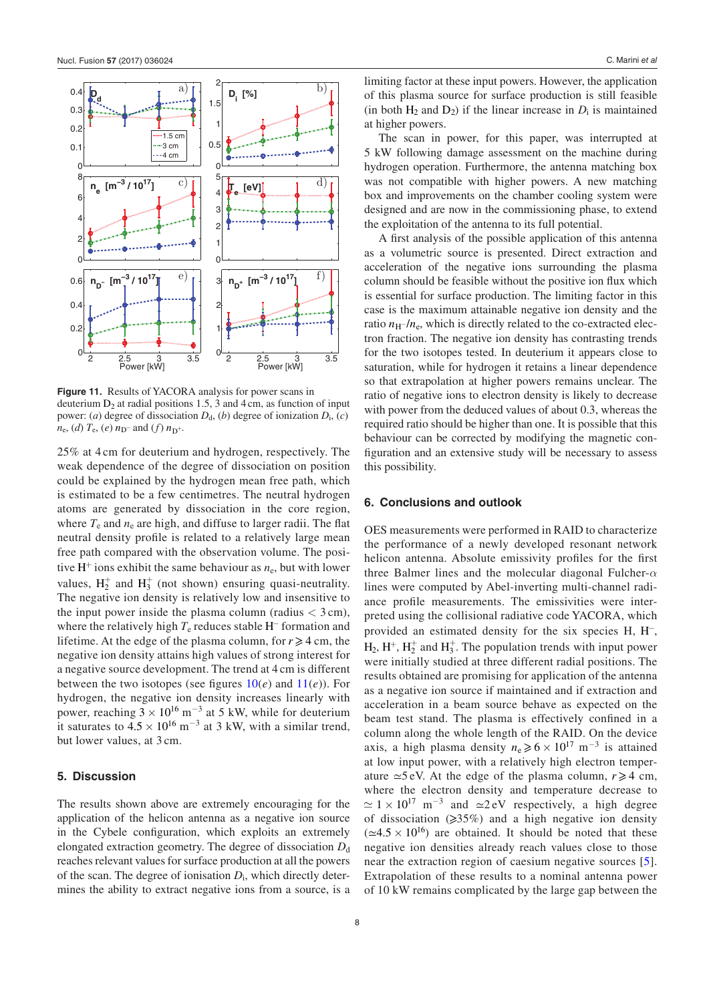<span id="page-7-2"></span>

**Figure 11.** Results of YACORA analysis for power scans in deuterium  $D_2$  at radial positions 1.5, 3 and 4 cm, as function of input power: (*a*) degree of dissociation  $D_d$ , (*b*) degree of ionization  $D_i$ , (*c*)  $n_e$ , (*d*)  $T_e$ , (*e*)  $n_D$ − and (*f*)  $n_D$ +.

25% at 4 cm for deuterium and hydrogen, respectively. The weak dependence of the degree of dissociation on position could be explained by the hydrogen mean free path, which is estimated to be a few centimetres. The neutral hydrogen atoms are generated by dissociation in the core region, where  $T_e$  and  $n_e$  are high, and diffuse to larger radii. The flat neutral density profile is related to a relatively large mean free path compared with the observation volume. The positive  $H^+$  ions exhibit the same behaviour as  $n_e$ , but with lower values,  $H_2^+$  and  $H_3^+$  (not shown) ensuring quasi-neutrality. The negative ion density is relatively low and insensitive to the input power inside the plasma column (radius  $<$  3 cm), where the relatively high  $T_e$  reduces stable H<sup> $-$ </sup> formation and lifetime. At the edge of the plasma column, for  $r \ge 4$  cm, the negative ion density attains high values of strong interest for a negative source development. The trend at 4 cm is different between the two isotopes (see figures  $10(e)$  $10(e)$  and  $11(e)$  $11(e)$ ). For hydrogen, the negative ion density increases linearly with power, reaching  $3 \times 10^{16}$  m<sup>-3</sup> at 5 kW, while for deuterium it saturates to  $4.5 \times 10^{16}$  m<sup>-3</sup> at 3 kW, with a similar trend, but lower values, at 3 cm.

#### <span id="page-7-0"></span>**5. Discussion**

The results shown above are extremely encouraging for the application of the helicon antenna as a negative ion source in the Cybele configuration, which exploits an extremely elongated extraction geometry. The degree of dissociation  $D_d$ reaches relevant values for surface production at all the powers of the scan. The degree of ionisation *D*i, which directly determines the ability to extract negative ions from a source, is a

limiting factor at these input powers. However, the application of this plasma source for surface production is still feasible (in both  $H_2$  and  $D_2$ ) if the linear increase in  $D_i$  is maintained at higher powers.

The scan in power, for this paper, was interrupted at 5 kW following damage assessment on the machine during hydrogen operation. Furthermore, the antenna matching box was not compatible with higher powers. A new matching box and improvements on the chamber cooling system were designed and are now in the commissioning phase, to extend the exploitation of the antenna to its full potential.

A first analysis of the possible application of this antenna as a volumetric source is presented. Direct extraction and acceleration of the negative ions surrounding the plasma column should be feasible without the positive ion flux which is essential for surface production. The limiting factor in this case is the maximum attainable negative ion density and the ratio  $n_{\text{H}}$  -/ $n_{\text{e}}$ , which is directly related to the co-extracted electron fraction. The negative ion density has contrasting trends for the two isotopes tested. In deuterium it appears close to saturation, while for hydrogen it retains a linear dependence so that extrapolation at higher powers remains unclear. The ratio of negative ions to electron density is likely to decrease with power from the deduced values of about 0.3, whereas the required ratio should be higher than one. It is possible that this behaviour can be corrected by modifying the magnetic configuration and an extensive study will be necessary to assess this possibility.

### <span id="page-7-1"></span>**6. Conclusions and outlook**

OES measurements were performed in RAID to characterize the performance of a newly developed resonant network helicon antenna. Absolute emissivity profiles for the first three Balmer lines and the molecular diagonal Fulcher-*α* lines were computed by Abel-inverting multi-channel radiance profile measurements. The emissivities were interpreted using the collisional radiative code YACORA, which provided an estimated density for the six species H, H<sup>−</sup>,  $H_2$ ,  $H^+$ ,  $H_2^+$  and  $H_3^+$ . The population trends with input power were initially studied at three different radial positions. The results obtained are promising for application of the antenna as a negative ion source if maintained and if extraction and acceleration in a beam source behave as expected on the beam test stand. The plasma is effectively confined in a column along the whole length of the RAID. On the device axis, a high plasma density  $n_e \ge 6 \times 10^{17}$  m<sup>-3</sup> is attained at low input power, with a relatively high electron temperature  $\simeq$ 5 eV. At the edge of the plasma column,  $r \ge 4$  cm, where the electron density and temperature decrease to  $\approx 1 \times 10^{17}$  m<sup>-3</sup> and  $\approx 2$  eV respectively, a high degree of dissociation  $(\geq 35\%)$  and a high negative ion density  $(\simeq 4.5 \times 10^{16})$  are obtained. It should be noted that these negative ion densities already reach values close to those near the extraction region of caesium negative sources [[5](#page-8-5)]. Extrapolation of these results to a nominal antenna power of 10 kW remains complicated by the large gap between the